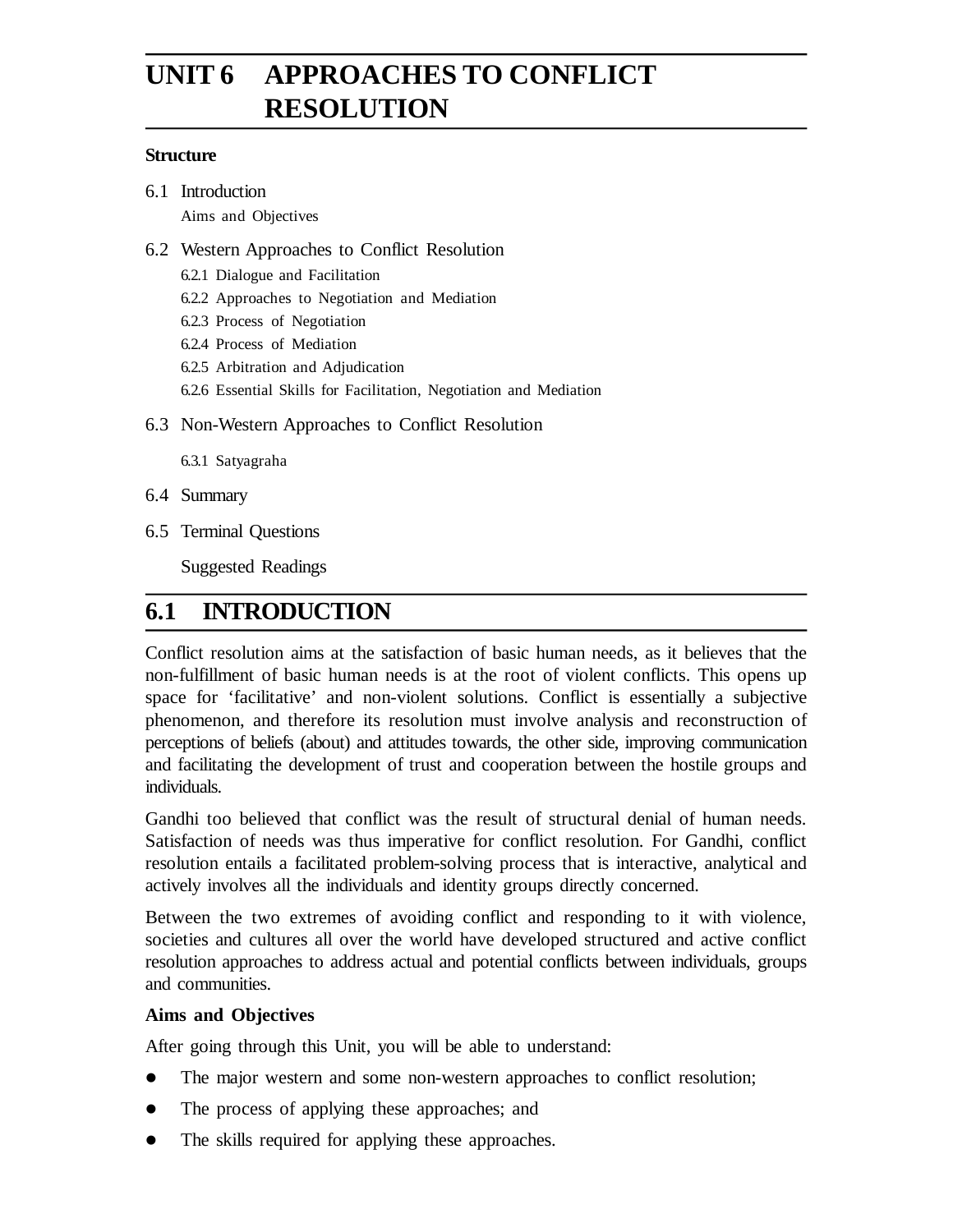# **UNIT 6 APPROACHES TO CONFLICT RESOLUTION**

#### **Structure**

6.1 Introduction

Aims and Objectives

#### 6.2 Western Approaches to Conflict Resolution

- 6.2.1 Dialogue and Facilitation
- 6.2.2 Approaches to Negotiation and Mediation
- 6.2.3 Process of Negotiation
- 6.2.4 Process of Mediation
- 6.2.5 Arbitration and Adjudication
- 6.2.6 Essential Skills for Facilitation, Negotiation and Mediation
- 6.3 Non-Western Approaches to Conflict Resolution
	- 6.3.1 Satyagraha
- 6.4 Summary
- 6.5 Terminal Questions

Suggested Readings

### **6.1 INTRODUCTION**

Conflict resolution aims at the satisfaction of basic human needs, as it believes that the non-fulfillment of basic human needs is at the root of violent conflicts. This opens up space for 'facilitative' and non-violent solutions. Conflict is essentially a subjective phenomenon, and therefore its resolution must involve analysis and reconstruction of perceptions of beliefs (about) and attitudes towards, the other side, improving communication and facilitating the development of trust and cooperation between the hostile groups and individuals.

Gandhi too believed that conflict was the result of structural denial of human needs. Satisfaction of needs was thus imperative for conflict resolution. For Gandhi, conflict resolution entails a facilitated problem-solving process that is interactive, analytical and actively involves all the individuals and identity groups directly concerned.

Between the two extremes of avoiding conflict and responding to it with violence, societies and cultures all over the world have developed structured and active conflict resolution approaches to address actual and potential conflicts between individuals, groups and communities.

#### **Aims and Objectives**

After going through this Unit, you will be able to understand:

- The major western and some non-western approaches to conflict resolution;
- The process of applying these approaches; and
- The skills required for applying these approaches.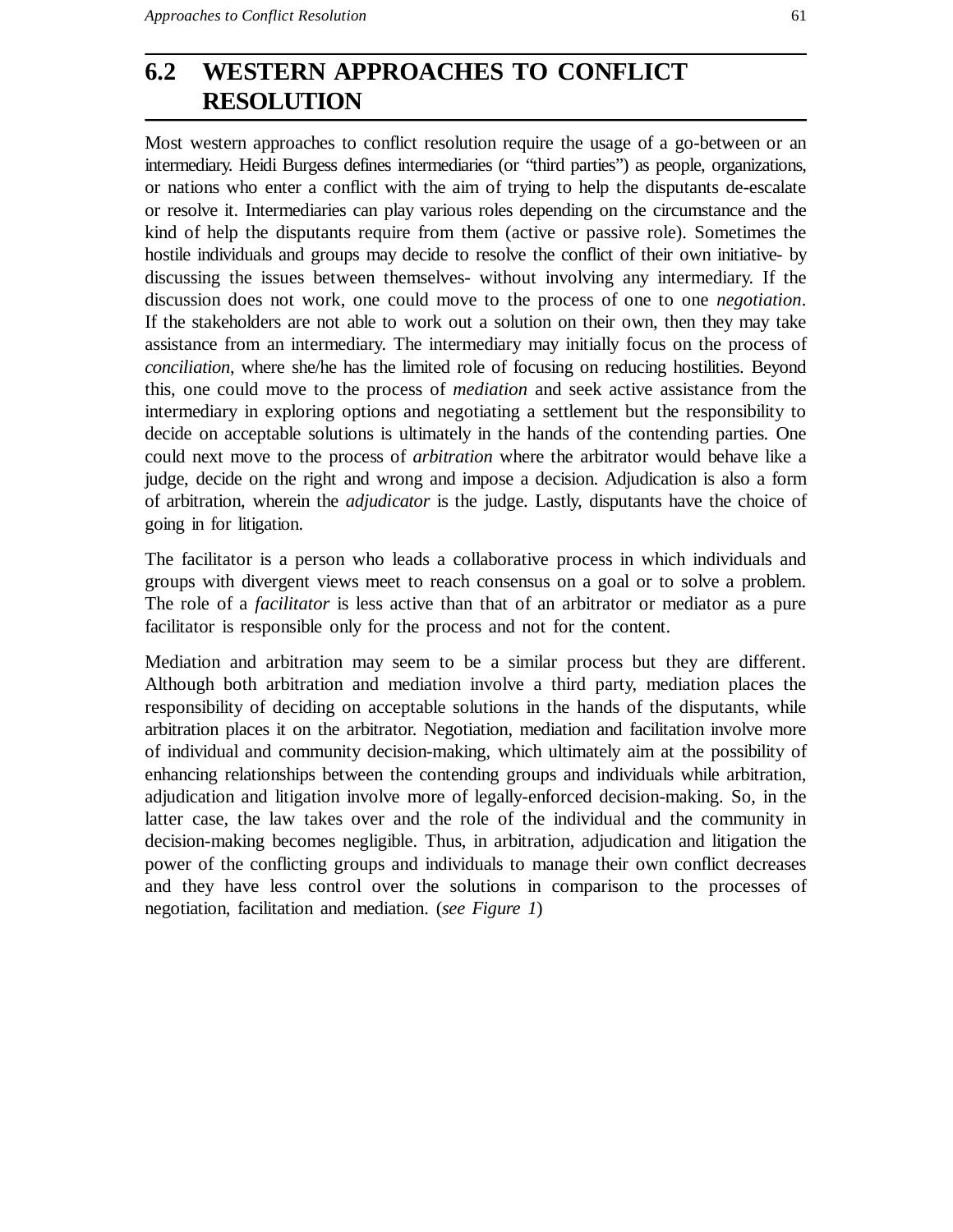## **6.2 WESTERN APPROACHES TO CONFLICT RESOLUTION**

Most western approaches to conflict resolution require the usage of a go-between or an intermediary. Heidi Burgess defines intermediaries (or "third parties") as people, organizations, or nations who enter a conflict with the aim of trying to help the disputants de-escalate or resolve it. Intermediaries can play various roles depending on the circumstance and the kind of help the disputants require from them (active or passive role). Sometimes the hostile individuals and groups may decide to resolve the conflict of their own initiative- by discussing the issues between themselves- without involving any intermediary. If the discussion does not work, one could move to the process of one to one *negotiation*. If the stakeholders are not able to work out a solution on their own, then they may take assistance from an intermediary. The intermediary may initially focus on the process of *conciliation*, where she/he has the limited role of focusing on reducing hostilities. Beyond this, one could move to the process of *mediation* and seek active assistance from the intermediary in exploring options and negotiating a settlement but the responsibility to decide on acceptable solutions is ultimately in the hands of the contending parties. One could next move to the process of *arbitration* where the arbitrator would behave like a judge, decide on the right and wrong and impose a decision. Adjudication is also a form of arbitration, wherein the *adjudicator* is the judge. Lastly, disputants have the choice of going in for litigation.

The facilitator is a person who leads a collaborative process in which individuals and groups with divergent views meet to reach consensus on a goal or to solve a problem. The role of a *facilitator* is less active than that of an arbitrator or mediator as a pure facilitator is responsible only for the process and not for the content.

Mediation and arbitration may seem to be a similar process but they are different. Although both arbitration and mediation involve a third party, mediation places the responsibility of deciding on acceptable solutions in the hands of the disputants, while arbitration places it on the arbitrator. Negotiation, mediation and facilitation involve more of individual and community decision-making, which ultimately aim at the possibility of enhancing relationships between the contending groups and individuals while arbitration, adjudication and litigation involve more of legally-enforced decision-making. So, in the latter case, the law takes over and the role of the individual and the community in decision-making becomes negligible. Thus, in arbitration, adjudication and litigation the power of the conflicting groups and individuals to manage their own conflict decreases and they have less control over the solutions in comparison to the processes of negotiation, facilitation and mediation. (*see Figure 1*)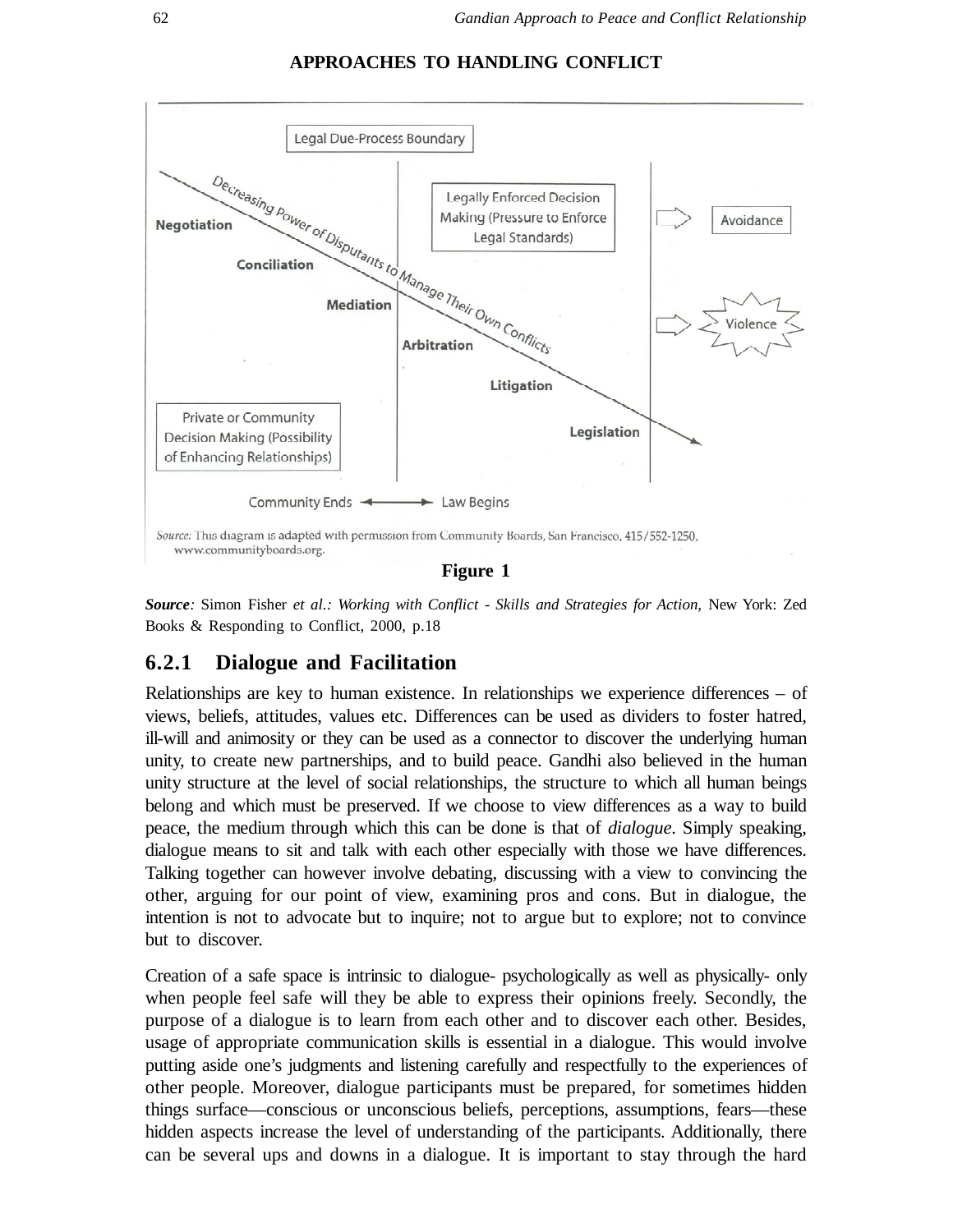



*Source:* Simon Fisher *et al.: Working with Conflict - Skills and Strategies for Action,* New York: Zed Books & Responding to Conflict, 2000, p.18

#### **6.2.1 Dialogue and Facilitation**

Relationships are key to human existence. In relationships we experience differences – of views, beliefs, attitudes, values etc. Differences can be used as dividers to foster hatred, ill-will and animosity or they can be used as a connector to discover the underlying human unity, to create new partnerships, and to build peace. Gandhi also believed in the human unity structure at the level of social relationships, the structure to which all human beings belong and which must be preserved. If we choose to view differences as a way to build peace, the medium through which this can be done is that of *dialogue*. Simply speaking, dialogue means to sit and talk with each other especially with those we have differences. Talking together can however involve debating, discussing with a view to convincing the other, arguing for our point of view, examining pros and cons. But in dialogue, the intention is not to advocate but to inquire; not to argue but to explore; not to convince but to discover.

Creation of a safe space is intrinsic to dialogue- psychologically as well as physically- only when people feel safe will they be able to express their opinions freely. Secondly, the purpose of a dialogue is to learn from each other and to discover each other. Besides, usage of appropriate communication skills is essential in a dialogue. This would involve putting aside one's judgments and listening carefully and respectfully to the experiences of other people. Moreover, dialogue participants must be prepared, for sometimes hidden things surface—conscious or unconscious beliefs, perceptions, assumptions, fears—these hidden aspects increase the level of understanding of the participants. Additionally, there can be several ups and downs in a dialogue. It is important to stay through the hard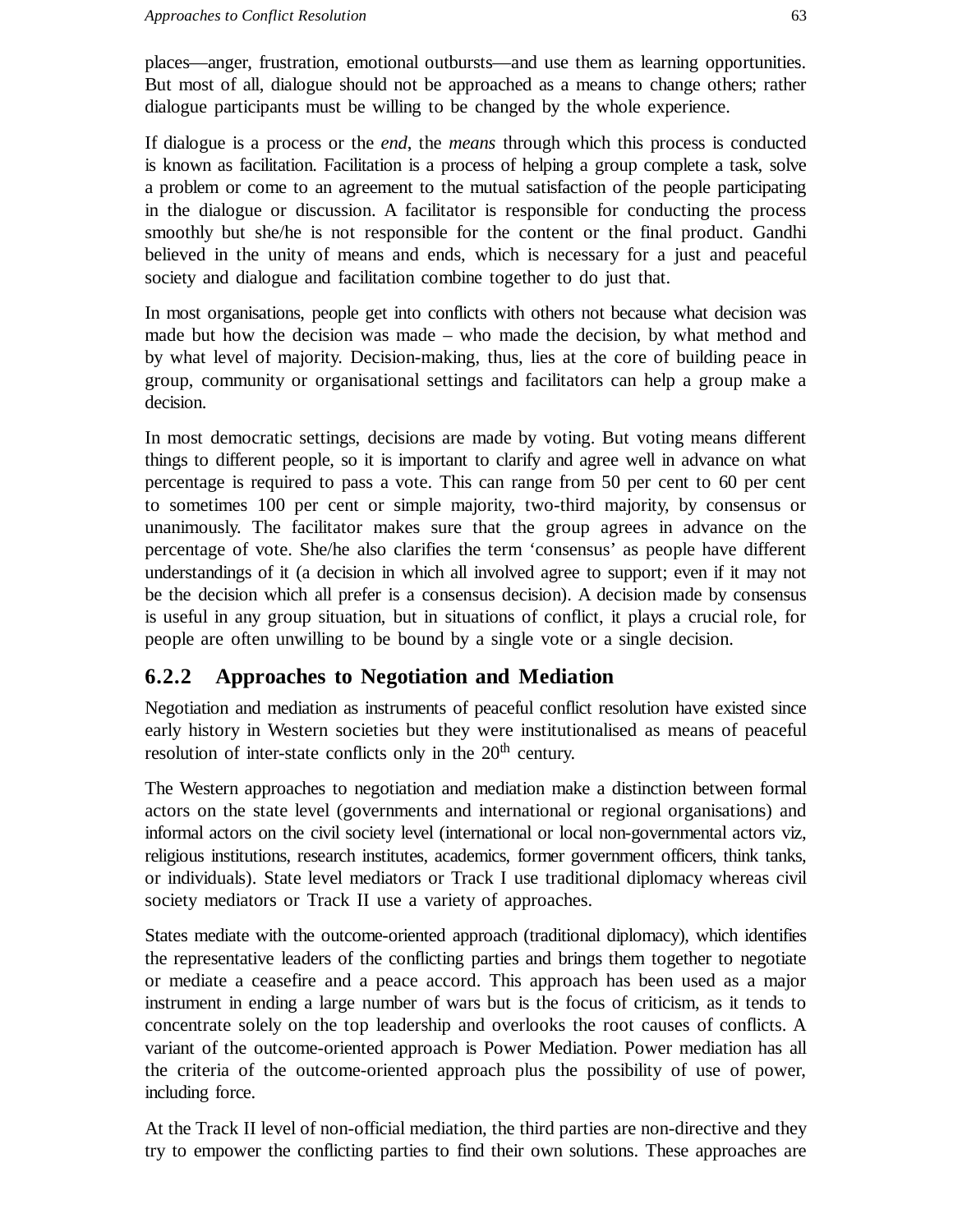places—anger, frustration, emotional outbursts—and use them as learning opportunities. But most of all, dialogue should not be approached as a means to change others; rather dialogue participants must be willing to be changed by the whole experience.

If dialogue is a process or the *end*, the *means* through which this process is conducted is known as facilitation. Facilitation is a process of helping a group complete a task, solve a problem or come to an agreement to the mutual satisfaction of the people participating in the dialogue or discussion. A facilitator is responsible for conducting the process smoothly but she/he is not responsible for the content or the final product. Gandhi believed in the unity of means and ends, which is necessary for a just and peaceful society and dialogue and facilitation combine together to do just that.

In most organisations, people get into conflicts with others not because what decision was made but how the decision was made – who made the decision, by what method and by what level of majority. Decision-making, thus, lies at the core of building peace in group, community or organisational settings and facilitators can help a group make a decision.

In most democratic settings, decisions are made by voting. But voting means different things to different people, so it is important to clarify and agree well in advance on what percentage is required to pass a vote. This can range from 50 per cent to 60 per cent to sometimes 100 per cent or simple majority, two-third majority, by consensus or unanimously. The facilitator makes sure that the group agrees in advance on the percentage of vote. She/he also clarifies the term 'consensus' as people have different understandings of it (a decision in which all involved agree to support; even if it may not be the decision which all prefer is a consensus decision). A decision made by consensus is useful in any group situation, but in situations of conflict, it plays a crucial role, for people are often unwilling to be bound by a single vote or a single decision.

### **6.2.2 Approaches to Negotiation and Mediation**

Negotiation and mediation as instruments of peaceful conflict resolution have existed since early history in Western societies but they were institutionalised as means of peaceful resolution of inter-state conflicts only in the 20<sup>th</sup> century.

The Western approaches to negotiation and mediation make a distinction between formal actors on the state level (governments and international or regional organisations) and informal actors on the civil society level (international or local non-governmental actors viz, religious institutions, research institutes, academics, former government officers, think tanks, or individuals). State level mediators or Track I use traditional diplomacy whereas civil society mediators or Track II use a variety of approaches.

States mediate with the outcome-oriented approach (traditional diplomacy), which identifies the representative leaders of the conflicting parties and brings them together to negotiate or mediate a ceasefire and a peace accord. This approach has been used as a major instrument in ending a large number of wars but is the focus of criticism, as it tends to concentrate solely on the top leadership and overlooks the root causes of conflicts. A variant of the outcome-oriented approach is Power Mediation. Power mediation has all the criteria of the outcome-oriented approach plus the possibility of use of power, including force.

At the Track II level of non-official mediation, the third parties are non-directive and they try to empower the conflicting parties to find their own solutions. These approaches are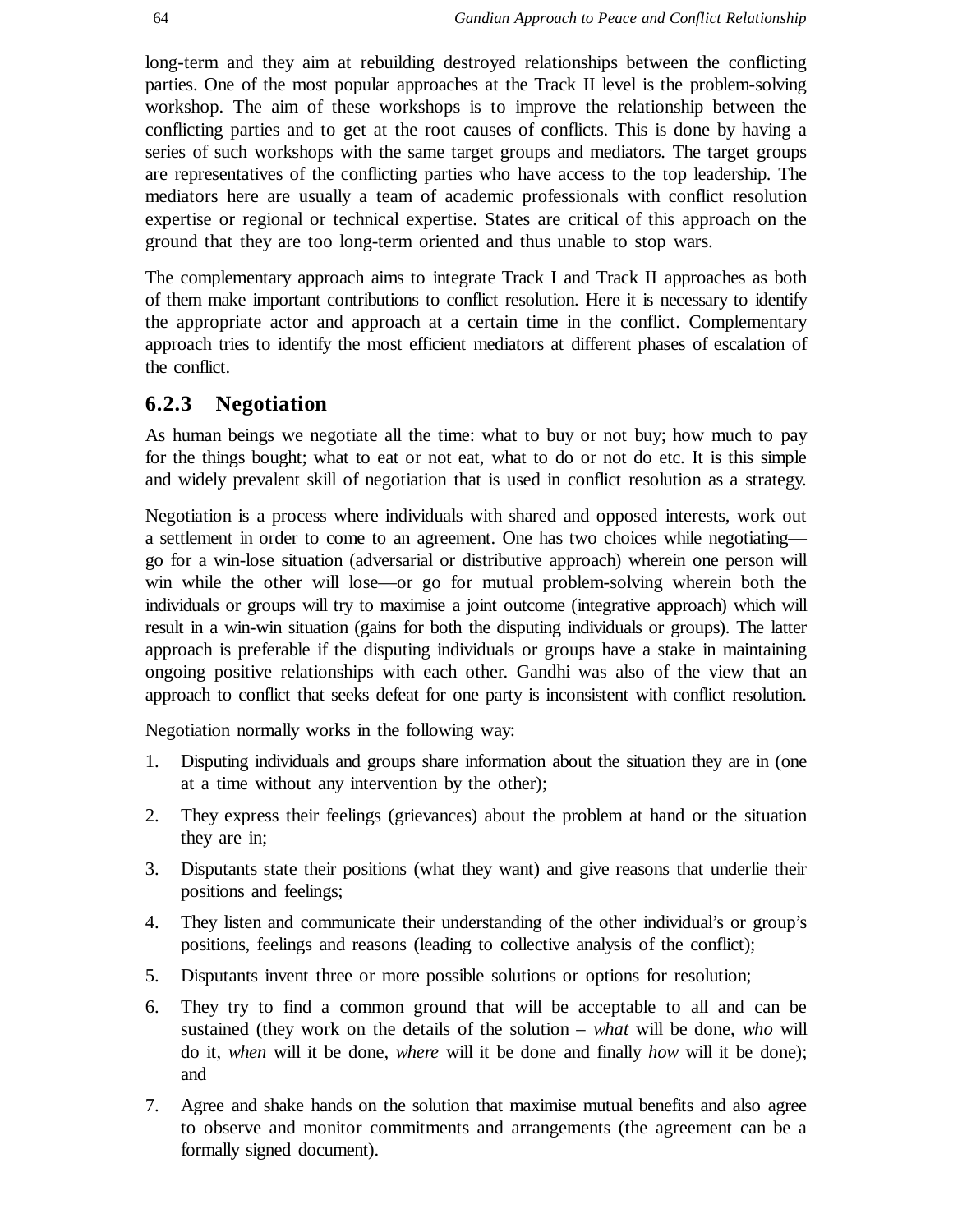long-term and they aim at rebuilding destroyed relationships between the conflicting parties. One of the most popular approaches at the Track II level is the problem-solving workshop. The aim of these workshops is to improve the relationship between the conflicting parties and to get at the root causes of conflicts. This is done by having a series of such workshops with the same target groups and mediators. The target groups are representatives of the conflicting parties who have access to the top leadership. The mediators here are usually a team of academic professionals with conflict resolution expertise or regional or technical expertise. States are critical of this approach on the ground that they are too long-term oriented and thus unable to stop wars.

The complementary approach aims to integrate Track I and Track II approaches as both of them make important contributions to conflict resolution. Here it is necessary to identify the appropriate actor and approach at a certain time in the conflict. Complementary approach tries to identify the most efficient mediators at different phases of escalation of the conflict.

#### **6.2.3 Negotiation**

As human beings we negotiate all the time: what to buy or not buy; how much to pay for the things bought; what to eat or not eat, what to do or not do etc. It is this simple and widely prevalent skill of negotiation that is used in conflict resolution as a strategy.

Negotiation is a process where individuals with shared and opposed interests, work out a settlement in order to come to an agreement. One has two choices while negotiating go for a win-lose situation (adversarial or distributive approach) wherein one person will win while the other will lose—or go for mutual problem-solving wherein both the individuals or groups will try to maximise a joint outcome (integrative approach) which will result in a win-win situation (gains for both the disputing individuals or groups). The latter approach is preferable if the disputing individuals or groups have a stake in maintaining ongoing positive relationships with each other. Gandhi was also of the view that an approach to conflict that seeks defeat for one party is inconsistent with conflict resolution.

Negotiation normally works in the following way:

- 1. Disputing individuals and groups share information about the situation they are in (one at a time without any intervention by the other);
- 2. They express their feelings (grievances) about the problem at hand or the situation they are in;
- 3. Disputants state their positions (what they want) and give reasons that underlie their positions and feelings;
- 4. They listen and communicate their understanding of the other individual's or group's positions, feelings and reasons (leading to collective analysis of the conflict);
- 5. Disputants invent three or more possible solutions or options for resolution;
- 6. They try to find a common ground that will be acceptable to all and can be sustained (they work on the details of the solution – *what* will be done, *who* will do it, *when* will it be done, *where* will it be done and finally *how* will it be done); and
- 7. Agree and shake hands on the solution that maximise mutual benefits and also agree to observe and monitor commitments and arrangements (the agreement can be a formally signed document).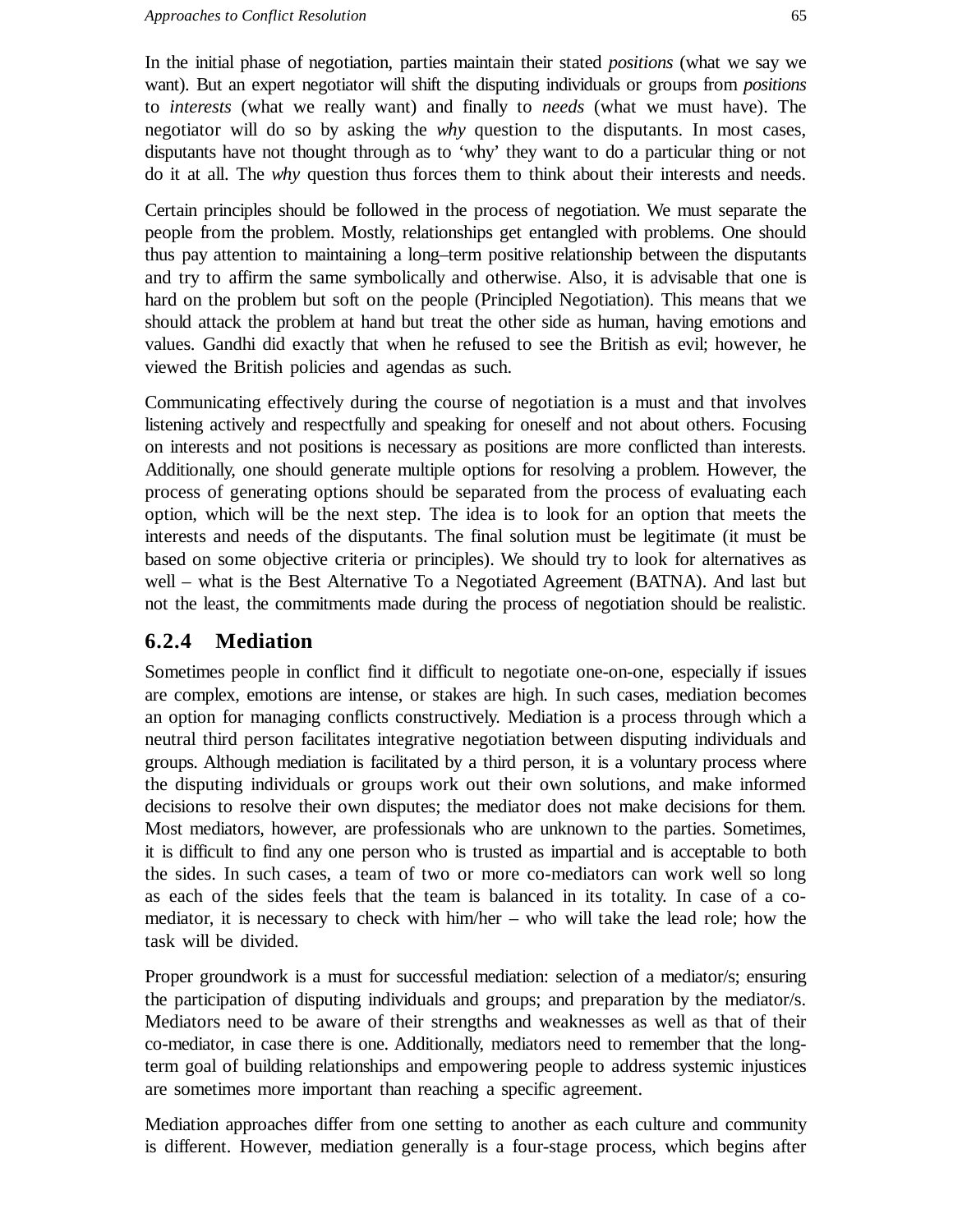In the initial phase of negotiation, parties maintain their stated *positions* (what we say we want). But an expert negotiator will shift the disputing individuals or groups from *positions* to *interests* (what we really want) and finally to *needs* (what we must have). The negotiator will do so by asking the *why* question to the disputants. In most cases, disputants have not thought through as to 'why' they want to do a particular thing or not do it at all. The *why* question thus forces them to think about their interests and needs.

Certain principles should be followed in the process of negotiation. We must separate the people from the problem. Mostly, relationships get entangled with problems. One should thus pay attention to maintaining a long–term positive relationship between the disputants and try to affirm the same symbolically and otherwise. Also, it is advisable that one is hard on the problem but soft on the people (Principled Negotiation). This means that we should attack the problem at hand but treat the other side as human, having emotions and values. Gandhi did exactly that when he refused to see the British as evil; however, he viewed the British policies and agendas as such.

Communicating effectively during the course of negotiation is a must and that involves listening actively and respectfully and speaking for oneself and not about others. Focusing on interests and not positions is necessary as positions are more conflicted than interests. Additionally, one should generate multiple options for resolving a problem. However, the process of generating options should be separated from the process of evaluating each option, which will be the next step. The idea is to look for an option that meets the interests and needs of the disputants. The final solution must be legitimate (it must be based on some objective criteria or principles). We should try to look for alternatives as well – what is the Best Alternative To a Negotiated Agreement (BATNA). And last but not the least, the commitments made during the process of negotiation should be realistic.

### **6.2.4 Mediation**

Sometimes people in conflict find it difficult to negotiate one-on-one, especially if issues are complex, emotions are intense, or stakes are high. In such cases, mediation becomes an option for managing conflicts constructively. Mediation is a process through which a neutral third person facilitates integrative negotiation between disputing individuals and groups. Although mediation is facilitated by a third person, it is a voluntary process where the disputing individuals or groups work out their own solutions, and make informed decisions to resolve their own disputes; the mediator does not make decisions for them. Most mediators, however, are professionals who are unknown to the parties. Sometimes, it is difficult to find any one person who is trusted as impartial and is acceptable to both the sides. In such cases, a team of two or more co-mediators can work well so long as each of the sides feels that the team is balanced in its totality. In case of a comediator, it is necessary to check with him/her – who will take the lead role; how the task will be divided.

Proper groundwork is a must for successful mediation: selection of a mediator/s; ensuring the participation of disputing individuals and groups; and preparation by the mediator/s. Mediators need to be aware of their strengths and weaknesses as well as that of their co-mediator, in case there is one. Additionally, mediators need to remember that the longterm goal of building relationships and empowering people to address systemic injustices are sometimes more important than reaching a specific agreement.

Mediation approaches differ from one setting to another as each culture and community is different. However, mediation generally is a four-stage process, which begins after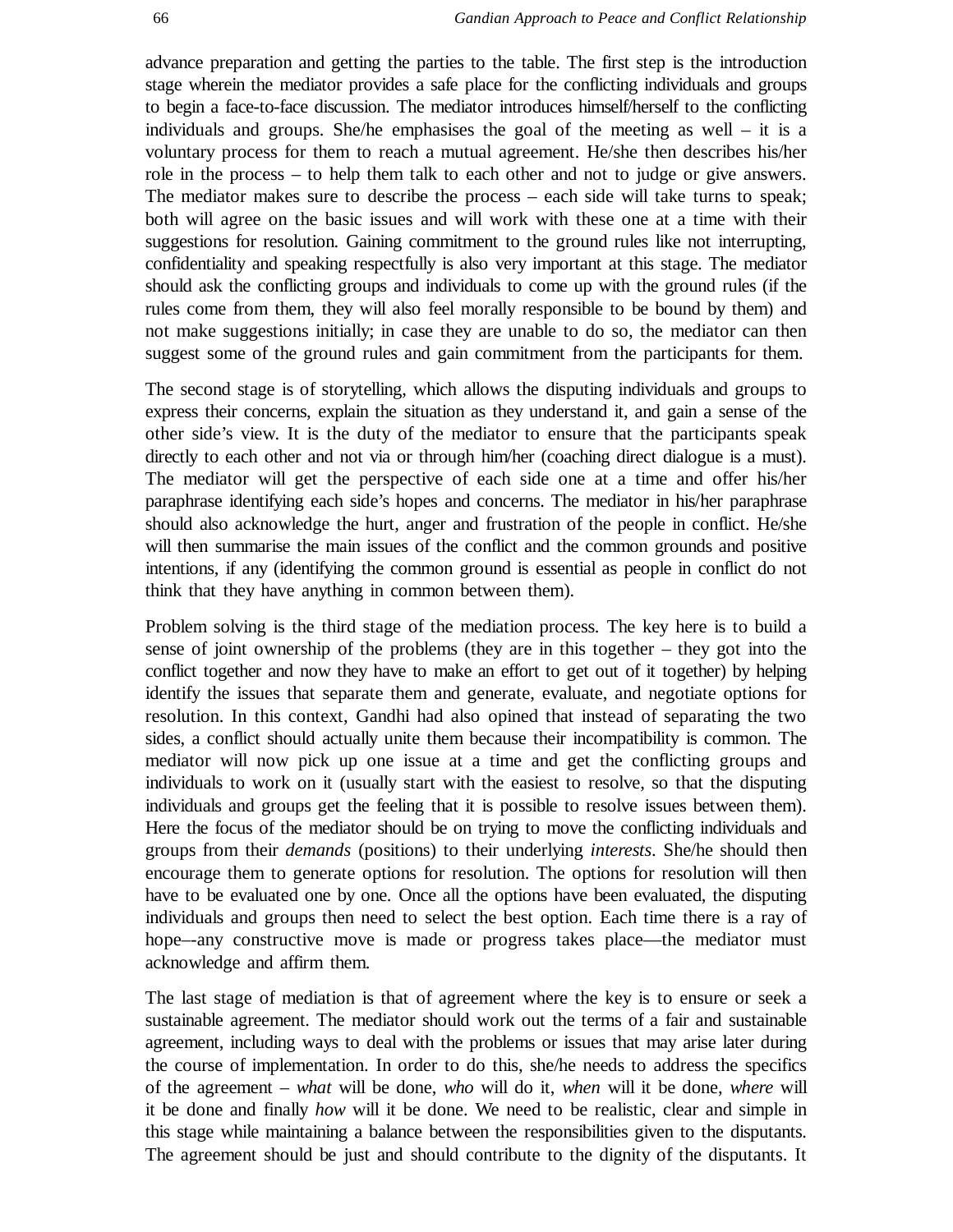advance preparation and getting the parties to the table. The first step is the introduction stage wherein the mediator provides a safe place for the conflicting individuals and groups to begin a face-to-face discussion. The mediator introduces himself/herself to the conflicting individuals and groups. She/he emphasises the goal of the meeting as well – it is a voluntary process for them to reach a mutual agreement. He/she then describes his/her role in the process – to help them talk to each other and not to judge or give answers. The mediator makes sure to describe the process – each side will take turns to speak; both will agree on the basic issues and will work with these one at a time with their suggestions for resolution. Gaining commitment to the ground rules like not interrupting, confidentiality and speaking respectfully is also very important at this stage. The mediator should ask the conflicting groups and individuals to come up with the ground rules (if the rules come from them, they will also feel morally responsible to be bound by them) and not make suggestions initially; in case they are unable to do so, the mediator can then suggest some of the ground rules and gain commitment from the participants for them.

The second stage is of storytelling, which allows the disputing individuals and groups to express their concerns, explain the situation as they understand it, and gain a sense of the other side's view. It is the duty of the mediator to ensure that the participants speak directly to each other and not via or through him/her (coaching direct dialogue is a must). The mediator will get the perspective of each side one at a time and offer his/her paraphrase identifying each side's hopes and concerns. The mediator in his/her paraphrase should also acknowledge the hurt, anger and frustration of the people in conflict. He/she will then summarise the main issues of the conflict and the common grounds and positive intentions, if any (identifying the common ground is essential as people in conflict do not think that they have anything in common between them).

Problem solving is the third stage of the mediation process. The key here is to build a sense of joint ownership of the problems (they are in this together – they got into the conflict together and now they have to make an effort to get out of it together) by helping identify the issues that separate them and generate, evaluate, and negotiate options for resolution. In this context, Gandhi had also opined that instead of separating the two sides, a conflict should actually unite them because their incompatibility is common. The mediator will now pick up one issue at a time and get the conflicting groups and individuals to work on it (usually start with the easiest to resolve, so that the disputing individuals and groups get the feeling that it is possible to resolve issues between them). Here the focus of the mediator should be on trying to move the conflicting individuals and groups from their *demands* (positions) to their underlying *interests*. She/he should then encourage them to generate options for resolution. The options for resolution will then have to be evaluated one by one. Once all the options have been evaluated, the disputing individuals and groups then need to select the best option. Each time there is a ray of hope—any constructive move is made or progress takes place—the mediator must acknowledge and affirm them.

The last stage of mediation is that of agreement where the key is to ensure or seek a sustainable agreement. The mediator should work out the terms of a fair and sustainable agreement, including ways to deal with the problems or issues that may arise later during the course of implementation. In order to do this, she/he needs to address the specifics of the agreement – *what* will be done, *who* will do it, *when* will it be done, *where* will it be done and finally *how* will it be done. We need to be realistic, clear and simple in this stage while maintaining a balance between the responsibilities given to the disputants. The agreement should be just and should contribute to the dignity of the disputants. It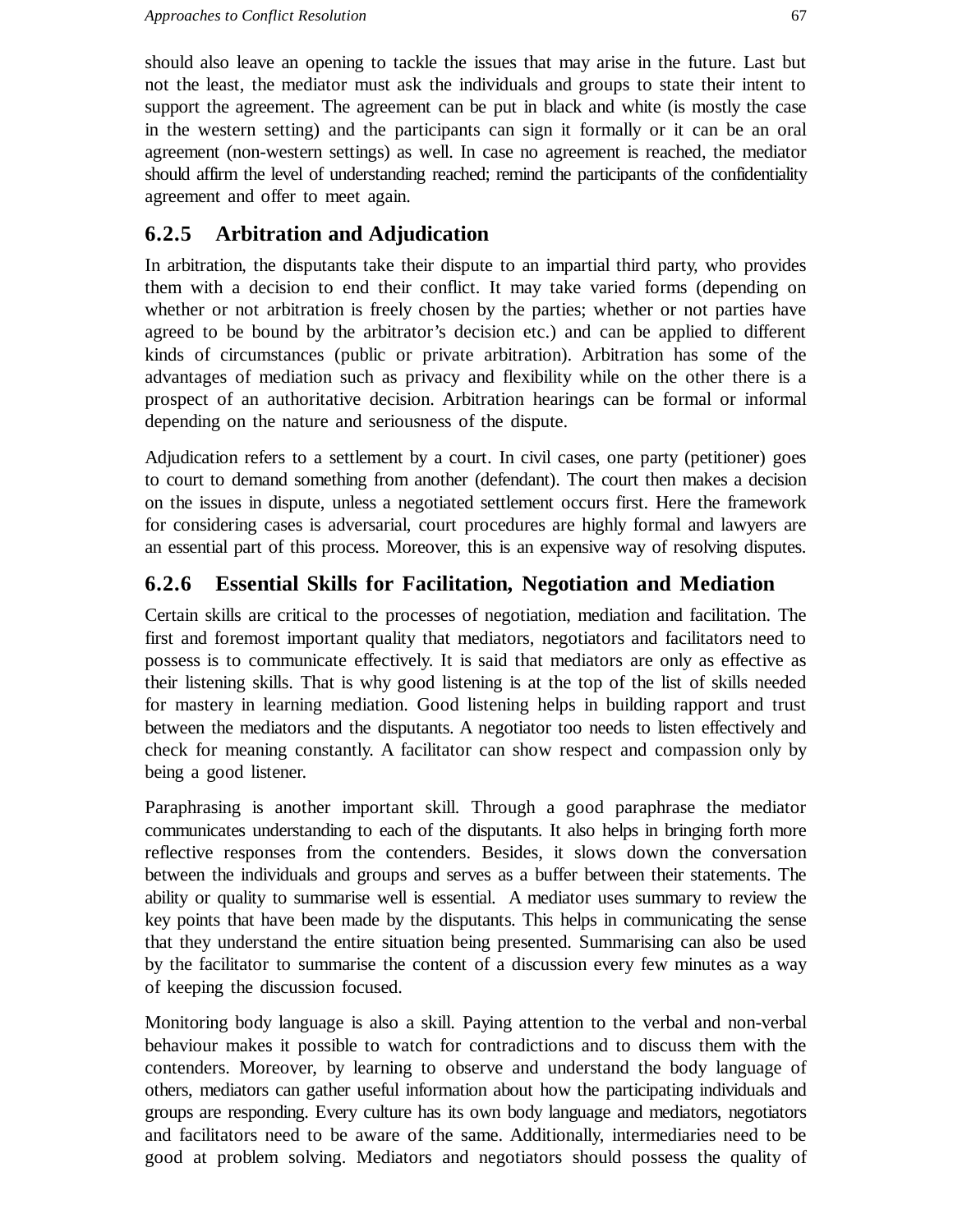should also leave an opening to tackle the issues that may arise in the future. Last but not the least, the mediator must ask the individuals and groups to state their intent to support the agreement. The agreement can be put in black and white (is mostly the case in the western setting) and the participants can sign it formally or it can be an oral agreement (non-western settings) as well. In case no agreement is reached, the mediator should affirm the level of understanding reached; remind the participants of the confidentiality agreement and offer to meet again.

### **6.2.5 Arbitration and Adjudication**

In arbitration, the disputants take their dispute to an impartial third party, who provides them with a decision to end their conflict. It may take varied forms (depending on whether or not arbitration is freely chosen by the parties; whether or not parties have agreed to be bound by the arbitrator's decision etc.) and can be applied to different kinds of circumstances (public or private arbitration). Arbitration has some of the advantages of mediation such as privacy and flexibility while on the other there is a prospect of an authoritative decision. Arbitration hearings can be formal or informal depending on the nature and seriousness of the dispute.

Adjudication refers to a settlement by a court. In civil cases, one party (petitioner) goes to court to demand something from another (defendant). The court then makes a decision on the issues in dispute, unless a negotiated settlement occurs first. Here the framework for considering cases is adversarial, court procedures are highly formal and lawyers are an essential part of this process. Moreover, this is an expensive way of resolving disputes.

### **6.2.6 Essential Skills for Facilitation, Negotiation and Mediation**

Certain skills are critical to the processes of negotiation, mediation and facilitation. The first and foremost important quality that mediators, negotiators and facilitators need to possess is to communicate effectively. It is said that mediators are only as effective as their listening skills. That is why good listening is at the top of the list of skills needed for mastery in learning mediation. Good listening helps in building rapport and trust between the mediators and the disputants. A negotiator too needs to listen effectively and check for meaning constantly. A facilitator can show respect and compassion only by being a good listener.

Paraphrasing is another important skill. Through a good paraphrase the mediator communicates understanding to each of the disputants. It also helps in bringing forth more reflective responses from the contenders. Besides, it slows down the conversation between the individuals and groups and serves as a buffer between their statements. The ability or quality to summarise well is essential. A mediator uses summary to review the key points that have been made by the disputants. This helps in communicating the sense that they understand the entire situation being presented. Summarising can also be used by the facilitator to summarise the content of a discussion every few minutes as a way of keeping the discussion focused.

Monitoring body language is also a skill. Paying attention to the verbal and non-verbal behaviour makes it possible to watch for contradictions and to discuss them with the contenders. Moreover, by learning to observe and understand the body language of others, mediators can gather useful information about how the participating individuals and groups are responding. Every culture has its own body language and mediators, negotiators and facilitators need to be aware of the same. Additionally, intermediaries need to be good at problem solving. Mediators and negotiators should possess the quality of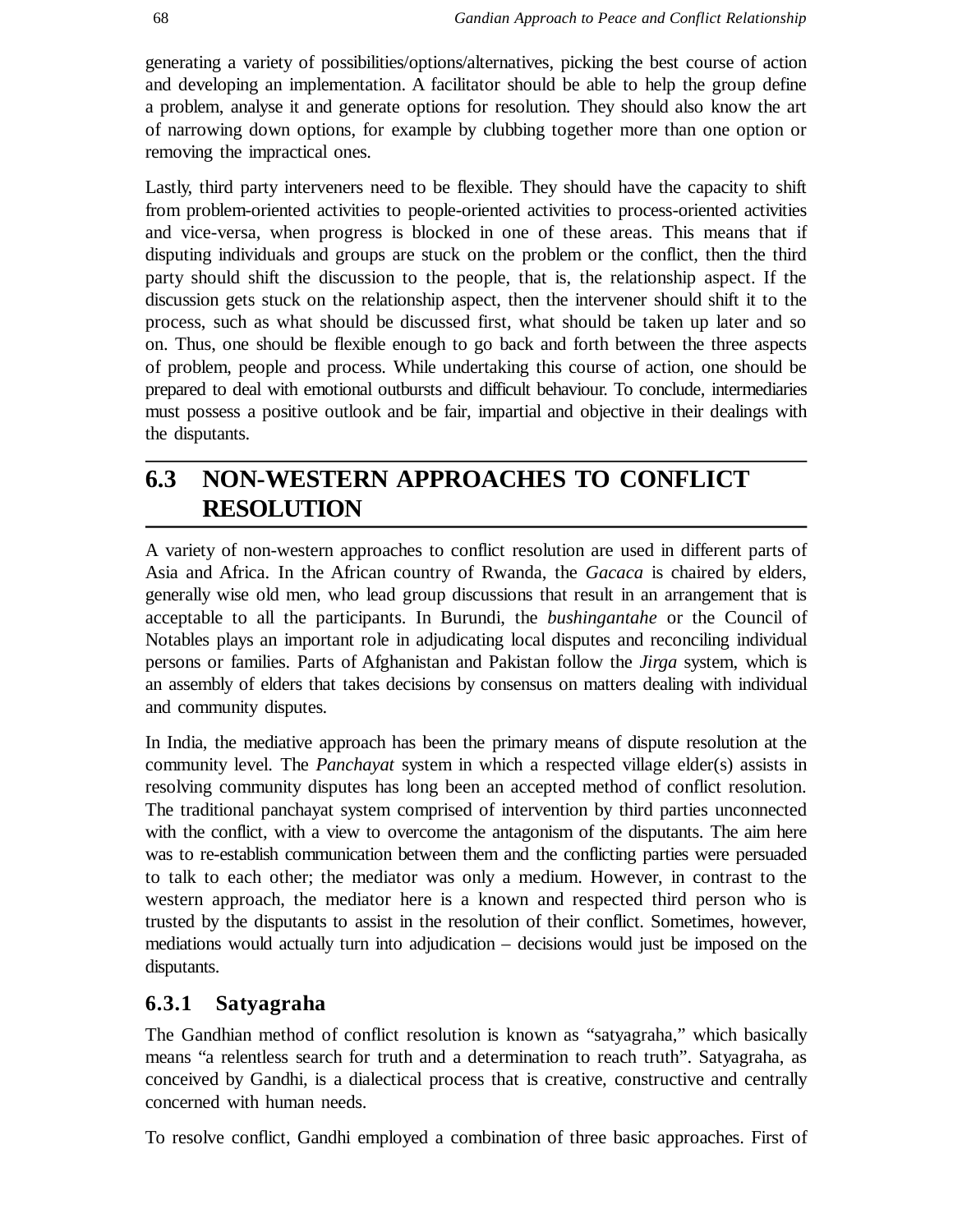generating a variety of possibilities/options/alternatives, picking the best course of action and developing an implementation. A facilitator should be able to help the group define a problem, analyse it and generate options for resolution. They should also know the art of narrowing down options, for example by clubbing together more than one option or removing the impractical ones.

Lastly, third party interveners need to be flexible. They should have the capacity to shift from problem-oriented activities to people-oriented activities to process-oriented activities and vice-versa, when progress is blocked in one of these areas. This means that if disputing individuals and groups are stuck on the problem or the conflict, then the third party should shift the discussion to the people, that is, the relationship aspect. If the discussion gets stuck on the relationship aspect, then the intervener should shift it to the process, such as what should be discussed first, what should be taken up later and so on. Thus, one should be flexible enough to go back and forth between the three aspects of problem, people and process. While undertaking this course of action, one should be prepared to deal with emotional outbursts and difficult behaviour. To conclude, intermediaries must possess a positive outlook and be fair, impartial and objective in their dealings with the disputants.

## **6.3 NON-WESTERN APPROACHES TO CONFLICT RESOLUTION**

A variety of non-western approaches to conflict resolution are used in different parts of Asia and Africa. In the African country of Rwanda, the *Gacaca* is chaired by elders, generally wise old men, who lead group discussions that result in an arrangement that is acceptable to all the participants. In Burundi, the *bushingantahe* or the Council of Notables plays an important role in adjudicating local disputes and reconciling individual persons or families. Parts of Afghanistan and Pakistan follow the *Jirga* system, which is an assembly of elders that takes decisions by consensus on matters dealing with individual and community disputes.

In India, the mediative approach has been the primary means of dispute resolution at the community level. The *Panchayat* system in which a respected village elder(s) assists in resolving community disputes has long been an accepted method of conflict resolution. The traditional panchayat system comprised of intervention by third parties unconnected with the conflict, with a view to overcome the antagonism of the disputants. The aim here was to re-establish communication between them and the conflicting parties were persuaded to talk to each other; the mediator was only a medium. However, in contrast to the western approach, the mediator here is a known and respected third person who is trusted by the disputants to assist in the resolution of their conflict. Sometimes, however, mediations would actually turn into adjudication – decisions would just be imposed on the disputants.

### **6.3.1 Satyagraha**

The Gandhian method of conflict resolution is known as "satyagraha," which basically means "a relentless search for truth and a determination to reach truth". Satyagraha, as conceived by Gandhi, is a dialectical process that is creative, constructive and centrally concerned with human needs.

To resolve conflict, Gandhi employed a combination of three basic approaches. First of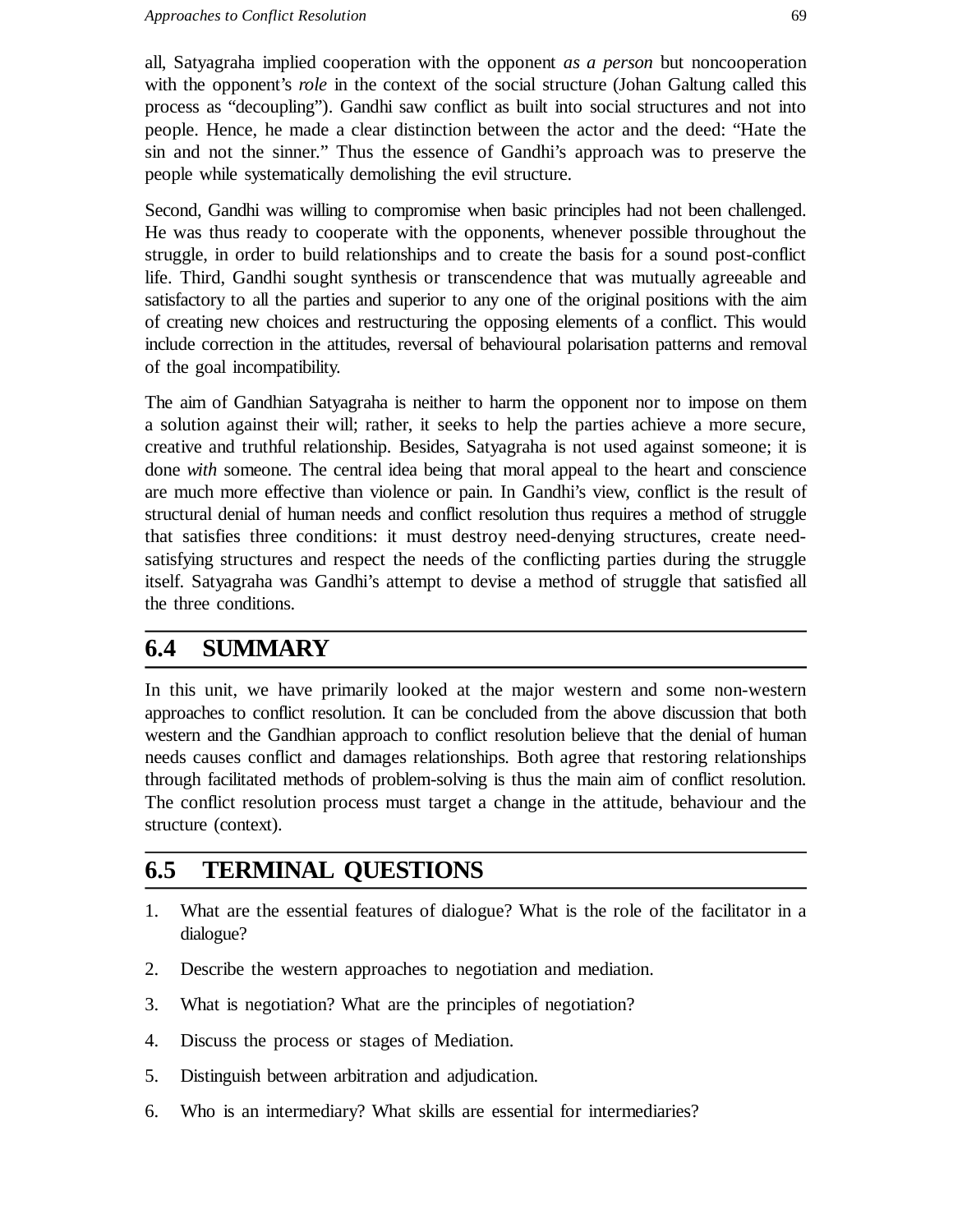all, Satyagraha implied cooperation with the opponent *as a person* but noncooperation with the opponent's *role* in the context of the social structure (Johan Galtung called this process as "decoupling"). Gandhi saw conflict as built into social structures and not into people. Hence, he made a clear distinction between the actor and the deed: "Hate the sin and not the sinner." Thus the essence of Gandhi's approach was to preserve the people while systematically demolishing the evil structure.

Second, Gandhi was willing to compromise when basic principles had not been challenged. He was thus ready to cooperate with the opponents, whenever possible throughout the struggle, in order to build relationships and to create the basis for a sound post-conflict life. Third, Gandhi sought synthesis or transcendence that was mutually agreeable and satisfactory to all the parties and superior to any one of the original positions with the aim of creating new choices and restructuring the opposing elements of a conflict. This would include correction in the attitudes, reversal of behavioural polarisation patterns and removal of the goal incompatibility.

The aim of Gandhian Satyagraha is neither to harm the opponent nor to impose on them a solution against their will; rather, it seeks to help the parties achieve a more secure, creative and truthful relationship. Besides, Satyagraha is not used against someone; it is done *with* someone. The central idea being that moral appeal to the heart and conscience are much more effective than violence or pain. In Gandhi's view, conflict is the result of structural denial of human needs and conflict resolution thus requires a method of struggle that satisfies three conditions: it must destroy need-denying structures, create needsatisfying structures and respect the needs of the conflicting parties during the struggle itself. Satyagraha was Gandhi's attempt to devise a method of struggle that satisfied all the three conditions.

## **6.4 SUMMARY**

In this unit, we have primarily looked at the major western and some non-western approaches to conflict resolution. It can be concluded from the above discussion that both western and the Gandhian approach to conflict resolution believe that the denial of human needs causes conflict and damages relationships. Both agree that restoring relationships through facilitated methods of problem-solving is thus the main aim of conflict resolution. The conflict resolution process must target a change in the attitude, behaviour and the structure (context).

## **6.5 TERMINAL QUESTIONS**

- 1. What are the essential features of dialogue? What is the role of the facilitator in a dialogue?
- 2. Describe the western approaches to negotiation and mediation.
- 3. What is negotiation? What are the principles of negotiation?
- 4. Discuss the process or stages of Mediation.
- 5. Distinguish between arbitration and adjudication.
- 6. Who is an intermediary? What skills are essential for intermediaries?